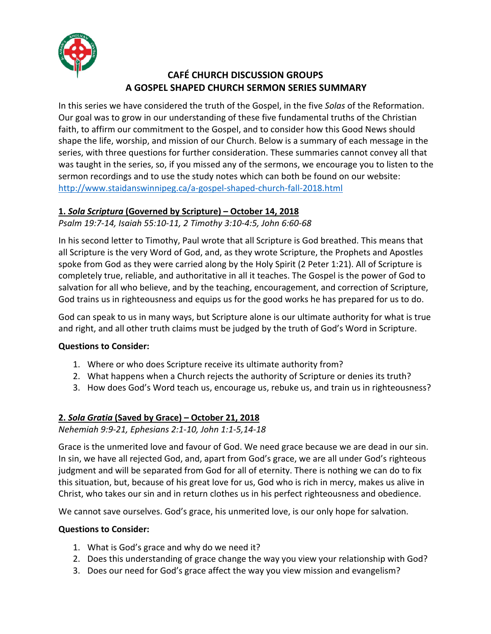

# **CAFÉ CHURCH DISCUSSION GROUPS A GOSPEL SHAPED CHURCH SERMON SERIES SUMMARY**

In this series we have considered the truth of the Gospel, in the five *Solas* of the Reformation. Our goal was to grow in our understanding of these five fundamental truths of the Christian faith, to affirm our commitment to the Gospel, and to consider how this Good News should shape the life, worship, and mission of our Church. Below is a summary of each message in the series, with three questions for further consideration. These summaries cannot convey all that was taught in the series, so, if you missed any of the sermons, we encourage you to listen to the sermon recordings and to use the study notes which can both be found on our website: http://www.staidanswinnipeg.ca/a-gospel-shaped-church-fall-2018.html

# **1.** *Sola Scriptura* **(Governed by Scripture) – October 14, 2018**

*Psalm 19:7-14, Isaiah 55:10-11, 2 Timothy 3:10-4:5, John 6:60-68* 

In his second letter to Timothy, Paul wrote that all Scripture is God breathed. This means that all Scripture is the very Word of God, and, as they wrote Scripture, the Prophets and Apostles spoke from God as they were carried along by the Holy Spirit (2 Peter 1:21). All of Scripture is completely true, reliable, and authoritative in all it teaches. The Gospel is the power of God to salvation for all who believe, and by the teaching, encouragement, and correction of Scripture, God trains us in righteousness and equips us for the good works he has prepared for us to do.

God can speak to us in many ways, but Scripture alone is our ultimate authority for what is true and right, and all other truth claims must be judged by the truth of God's Word in Scripture.

### **Questions to Consider:**

- 1. Where or who does Scripture receive its ultimate authority from?
- 2. What happens when a Church rejects the authority of Scripture or denies its truth?
- 3. How does God's Word teach us, encourage us, rebuke us, and train us in righteousness?

### **2.** *Sola Gratia* **(Saved by Grace) – October 21, 2018**

*Nehemiah 9:9-21, Ephesians 2:1-10, John 1:1-5,14-18*

Grace is the unmerited love and favour of God. We need grace because we are dead in our sin. In sin, we have all rejected God, and, apart from God's grace, we are all under God's righteous judgment and will be separated from God for all of eternity. There is nothing we can do to fix this situation, but, because of his great love for us, God who is rich in mercy, makes us alive in Christ, who takes our sin and in return clothes us in his perfect righteousness and obedience.

We cannot save ourselves. God's grace, his unmerited love, is our only hope for salvation.

### **Questions to Consider:**

- 1. What is God's grace and why do we need it?
- 2. Does this understanding of grace change the way you view your relationship with God?
- 3. Does our need for God's grace affect the way you view mission and evangelism?